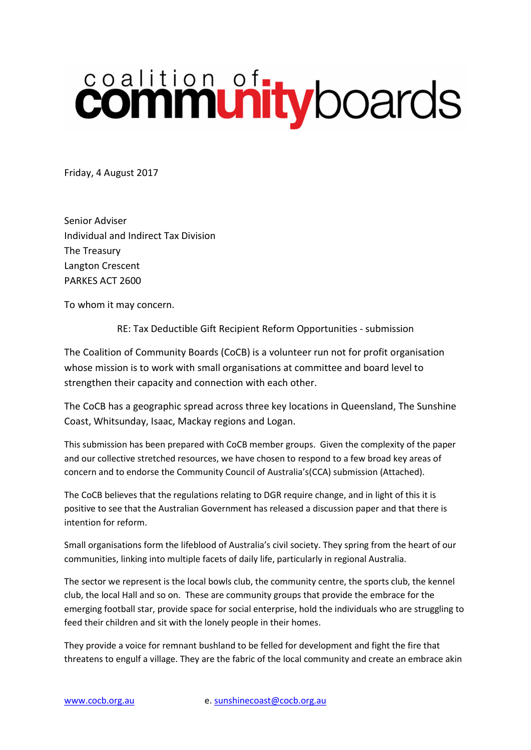## coalition of the boards

Friday, 4 August 2017

Senior Adviser Individual and Indirect Tax Division The Treasury Langton Crescent PARKES ACT 2600

To whom it may concern.

RE: Tax Deductible Gift Recipient Reform Opportunities - submission

The Coalition of Community Boards (CoCB) is a volunteer run not for profit organisation whose mission is to work with small organisations at committee and board level to strengthen their capacity and connection with each other.

The CoCB has a geographic spread across three key locations in Queensland, The Sunshine Coast, Whitsunday, Isaac, Mackay regions and Logan.

This submission has been prepared with CoCB member groups. Given the complexity of the paper and our collective stretched resources, we have chosen to respond to a few broad key areas of concern and to endorse the Community Council of Australia's(CCA) submission (Attached).

The CoCB believes that the regulations relating to DGR require change, and in light of this it is positive to see that the Australian Government has released a discussion paper and that there is intention for reform.

Small organisations form the lifeblood of Australia's civil society. They spring from the heart of our communities, linking into multiple facets of daily life, particularly in regional Australia.

The sector we represent is the local bowls club, the community centre, the sports club, the kennel club, the local Hall and so on. These are community groups that provide the embrace for the emerging football star, provide space for social enterprise, hold the individuals who are struggling to feed their children and sit with the lonely people in their homes.

They provide a voice for remnant bushland to be felled for development and fight the fire that threatens to engulf a village. They are the fabric of the local community and create an embrace akin